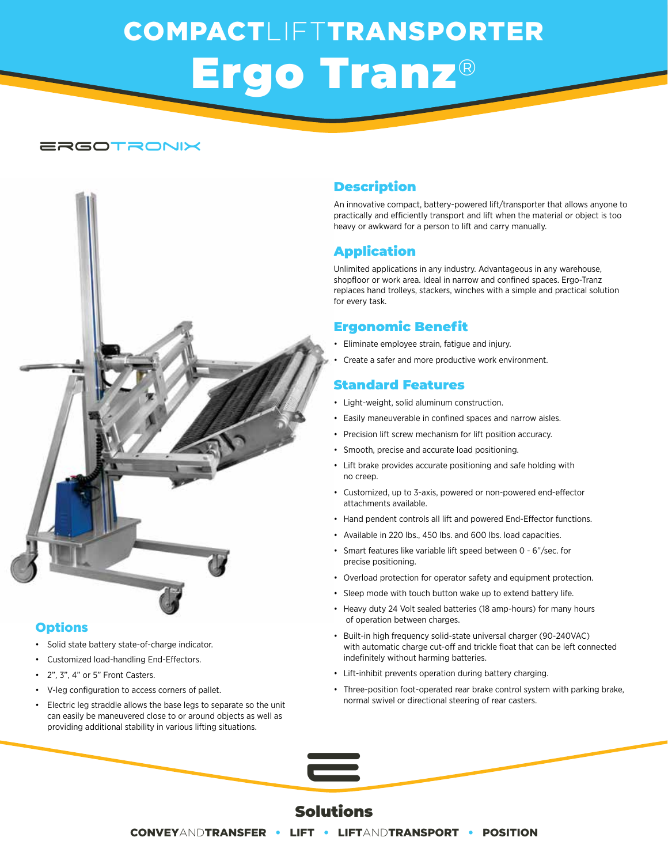# COMPACTLIFTTRANSPORTER Ergo Tranz®

#### ergotronix



#### **Options**

- Solid state battery state-of-charge indicator.
- Customized load-handling End-Effectors.
- 2", 3", 4" or 5" Front Casters.
- V-leg configuration to access corners of pallet.
- Electric leg straddle allows the base legs to separate so the unit can easily be maneuvered close to or around objects as well as providing additional stability in various lifting situations.

#### Description

An innovative compact, battery-powered lift/transporter that allows anyone to practically and efficiently transport and lift when the material or object is too heavy or awkward for a person to lift and carry manually.

#### Application

Unlimited applications in any industry. Advantageous in any warehouse, shopfloor or work area. Ideal in narrow and confined spaces. Ergo-Tranz replaces hand trolleys, stackers, winches with a simple and practical solution for every task.

#### Ergonomic Benefit

- Eliminate employee strain, fatigue and injury.
- Create a safer and more productive work environment.

#### Standard Features

- Light-weight, solid aluminum construction.
- Easily maneuverable in confined spaces and narrow aisles.
- Precision lift screw mechanism for lift position accuracy.
- Smooth, precise and accurate load positioning.
- Lift brake provides accurate positioning and safe holding with no creep.
- Customized, up to 3-axis, powered or non-powered end-effector attachments available.
- Hand pendent controls all lift and powered End-Effector functions.
- Available in 220 lbs., 450 lbs. and 600 lbs. load capacities.
- Smart features like variable lift speed between 0 6"/sec. for precise positioning.
- Overload protection for operator safety and equipment protection.
- Sleep mode with touch button wake up to extend battery life.
- Heavy duty 24 Volt sealed batteries (18 amp-hours) for many hours of operation between charges.
- Built-in high frequency solid-state universal charger (90-240VAC) with automatic charge cut-off and trickle float that can be left connected indefinitely without harming batteries.
- Lift-inhibit prevents operation during battery charging.
- Three-position foot-operated rear brake control system with parking brake, normal swivel or directional steering of rear casters.

### Solutions

e